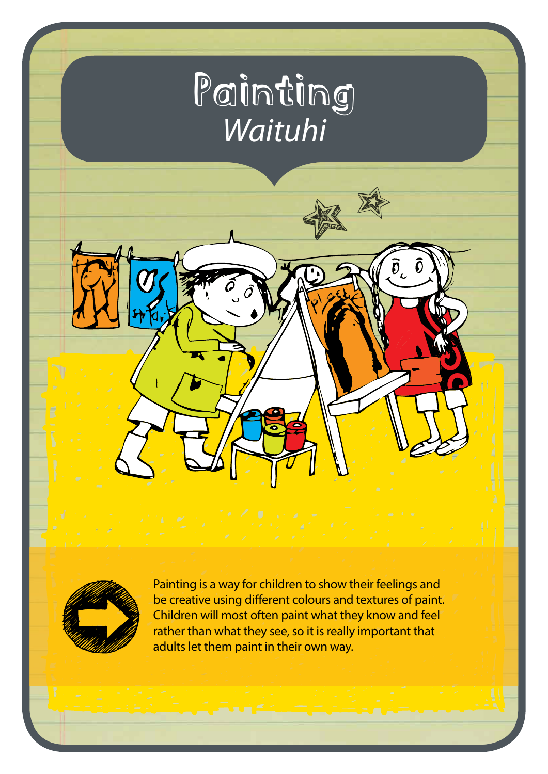# Painting *Waituhi*

 $\widehat{\mathfrak{d}}_{\iota}$ 



Painting is a way for children to show their feelings and be creative using different colours and textures of paint. Children will most often paint what they know and feel rather than what they see, so it is really important that adults let them paint in their own way.